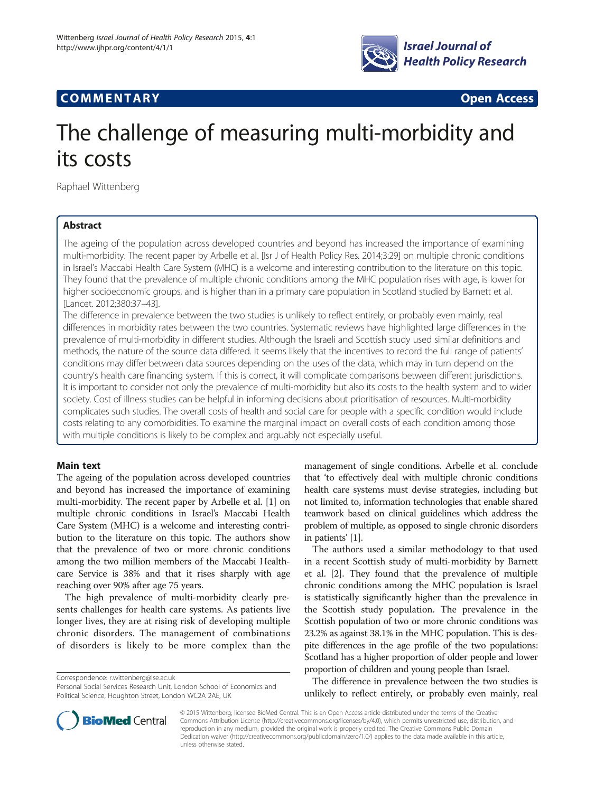

# **COMMENTARY COMMENTARY Open Access**

# The challenge of measuring multi-morbidity and its costs

Raphael Wittenberg

## Abstract

The ageing of the population across developed countries and beyond has increased the importance of examining multi-morbidity. The recent paper by Arbelle et al. [Isr J of Health Policy Res. 2014;3:29] on multiple chronic conditions in Israel's Maccabi Health Care System (MHC) is a welcome and interesting contribution to the literature on this topic. They found that the prevalence of multiple chronic conditions among the MHC population rises with age, is lower for higher socioeconomic groups, and is higher than in a primary care population in Scotland studied by Barnett et al. [Lancet. 2012;380:37–43].

The difference in prevalence between the two studies is unlikely to reflect entirely, or probably even mainly, real differences in morbidity rates between the two countries. Systematic reviews have highlighted large differences in the prevalence of multi-morbidity in different studies. Although the Israeli and Scottish study used similar definitions and methods, the nature of the source data differed. It seems likely that the incentives to record the full range of patients' conditions may differ between data sources depending on the uses of the data, which may in turn depend on the country's health care financing system. If this is correct, it will complicate comparisons between different jurisdictions. It is important to consider not only the prevalence of multi-morbidity but also its costs to the health system and to wider society. Cost of illness studies can be helpful in informing decisions about prioritisation of resources. Multi-morbidity complicates such studies. The overall costs of health and social care for people with a specific condition would include costs relating to any comorbidities. To examine the marginal impact on overall costs of each condition among those with multiple conditions is likely to be complex and arguably not especially useful.

### Main text

The ageing of the population across developed countries and beyond has increased the importance of examining multi-morbidity. The recent paper by Arbelle et al. [\[1\]](#page-2-0) on multiple chronic conditions in Israel's Maccabi Health Care System (MHC) is a welcome and interesting contribution to the literature on this topic. The authors show that the prevalence of two or more chronic conditions among the two million members of the Maccabi Healthcare Service is 38% and that it rises sharply with age reaching over 90% after age 75 years.

The high prevalence of multi-morbidity clearly presents challenges for health care systems. As patients live longer lives, they are at rising risk of developing multiple chronic disorders. The management of combinations of disorders is likely to be more complex than the

Correspondence: [r.wittenberg@lse.ac.uk](mailto:r.wittenberg@lse.ac.uk)

management of single conditions. Arbelle et al. conclude that 'to effectively deal with multiple chronic conditions health care systems must devise strategies, including but not limited to, information technologies that enable shared teamwork based on clinical guidelines which address the problem of multiple, as opposed to single chronic disorders in patients' [[1](#page-2-0)].

The authors used a similar methodology to that used in a recent Scottish study of multi-morbidity by Barnett et al. [[2](#page-2-0)]. They found that the prevalence of multiple chronic conditions among the MHC population is Israel is statistically significantly higher than the prevalence in the Scottish study population. The prevalence in the Scottish population of two or more chronic conditions was 23.2% as against 38.1% in the MHC population. This is despite differences in the age profile of the two populations: Scotland has a higher proportion of older people and lower proportion of children and young people than Israel.

The difference in prevalence between the two studies is unlikely to reflect entirely, or probably even mainly, real



© 2015 Wittenberg; licensee BioMed Central. This is an Open Access article distributed under the terms of the Creative Commons Attribution License [\(http://creativecommons.org/licenses/by/4.0\)](http://creativecommons.org/licenses/by/4.0), which permits unrestricted use, distribution, and reproduction in any medium, provided the original work is properly credited. The Creative Commons Public Domain Dedication waiver [\(http://creativecommons.org/publicdomain/zero/1.0/](http://creativecommons.org/publicdomain/zero/1.0/)) applies to the data made available in this article, unless otherwise stated.

Personal Social Services Research Unit, London School of Economics and Political Science, Houghton Street, London WC2A 2AE, UK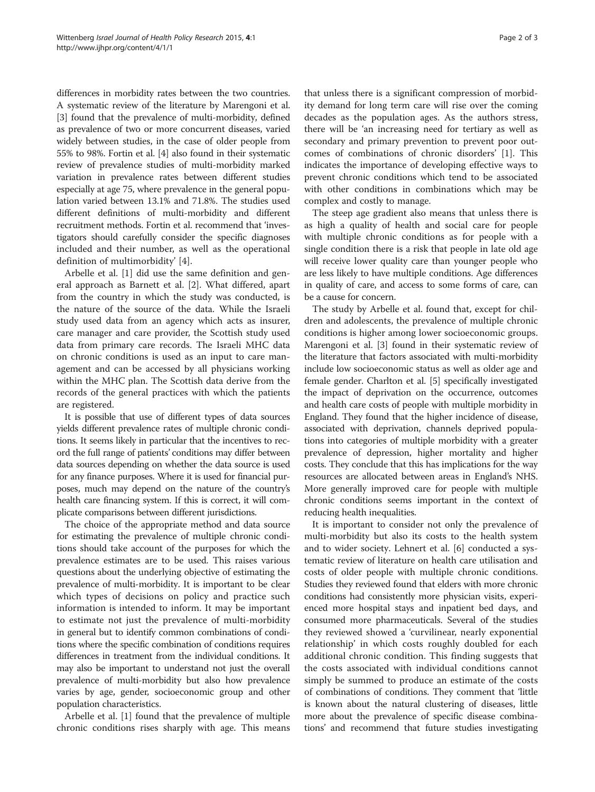differences in morbidity rates between the two countries. A systematic review of the literature by Marengoni et al. [[3\]](#page-2-0) found that the prevalence of multi-morbidity, defined as prevalence of two or more concurrent diseases, varied widely between studies, in the case of older people from 55% to 98%. Fortin et al. [\[4](#page-2-0)] also found in their systematic review of prevalence studies of multi-morbidity marked variation in prevalence rates between different studies especially at age 75, where prevalence in the general population varied between 13.1% and 71.8%. The studies used different definitions of multi-morbidity and different recruitment methods. Fortin et al. recommend that 'investigators should carefully consider the specific diagnoses included and their number, as well as the operational definition of multimorbidity' [\[4](#page-2-0)].

Arbelle et al. [[1\]](#page-2-0) did use the same definition and general approach as Barnett et al. [\[2](#page-2-0)]. What differed, apart from the country in which the study was conducted, is the nature of the source of the data. While the Israeli study used data from an agency which acts as insurer, care manager and care provider, the Scottish study used data from primary care records. The Israeli MHC data on chronic conditions is used as an input to care management and can be accessed by all physicians working within the MHC plan. The Scottish data derive from the records of the general practices with which the patients are registered.

It is possible that use of different types of data sources yields different prevalence rates of multiple chronic conditions. It seems likely in particular that the incentives to record the full range of patients' conditions may differ between data sources depending on whether the data source is used for any finance purposes. Where it is used for financial purposes, much may depend on the nature of the country's health care financing system. If this is correct, it will complicate comparisons between different jurisdictions.

The choice of the appropriate method and data source for estimating the prevalence of multiple chronic conditions should take account of the purposes for which the prevalence estimates are to be used. This raises various questions about the underlying objective of estimating the prevalence of multi-morbidity. It is important to be clear which types of decisions on policy and practice such information is intended to inform. It may be important to estimate not just the prevalence of multi-morbidity in general but to identify common combinations of conditions where the specific combination of conditions requires differences in treatment from the individual conditions. It may also be important to understand not just the overall prevalence of multi-morbidity but also how prevalence varies by age, gender, socioeconomic group and other population characteristics.

Arbelle et al. [\[1](#page-2-0)] found that the prevalence of multiple chronic conditions rises sharply with age. This means

that unless there is a significant compression of morbidity demand for long term care will rise over the coming decades as the population ages. As the authors stress, there will be 'an increasing need for tertiary as well as secondary and primary prevention to prevent poor outcomes of combinations of chronic disorders' [\[1](#page-2-0)]. This indicates the importance of developing effective ways to prevent chronic conditions which tend to be associated with other conditions in combinations which may be complex and costly to manage.

The steep age gradient also means that unless there is as high a quality of health and social care for people with multiple chronic conditions as for people with a single condition there is a risk that people in late old age will receive lower quality care than younger people who are less likely to have multiple conditions. Age differences in quality of care, and access to some forms of care, can be a cause for concern.

The study by Arbelle et al. found that, except for children and adolescents, the prevalence of multiple chronic conditions is higher among lower socioeconomic groups. Marengoni et al. [[3](#page-2-0)] found in their systematic review of the literature that factors associated with multi-morbidity include low socioeconomic status as well as older age and female gender. Charlton et al. [\[5](#page-2-0)] specifically investigated the impact of deprivation on the occurrence, outcomes and health care costs of people with multiple morbidity in England. They found that the higher incidence of disease, associated with deprivation, channels deprived populations into categories of multiple morbidity with a greater prevalence of depression, higher mortality and higher costs. They conclude that this has implications for the way resources are allocated between areas in England's NHS. More generally improved care for people with multiple chronic conditions seems important in the context of reducing health inequalities.

It is important to consider not only the prevalence of multi-morbidity but also its costs to the health system and to wider society. Lehnert et al. [\[6](#page-2-0)] conducted a systematic review of literature on health care utilisation and costs of older people with multiple chronic conditions. Studies they reviewed found that elders with more chronic conditions had consistently more physician visits, experienced more hospital stays and inpatient bed days, and consumed more pharmaceuticals. Several of the studies they reviewed showed a 'curvilinear, nearly exponential relationship' in which costs roughly doubled for each additional chronic condition. This finding suggests that the costs associated with individual conditions cannot simply be summed to produce an estimate of the costs of combinations of conditions. They comment that 'little is known about the natural clustering of diseases, little more about the prevalence of specific disease combinations' and recommend that future studies investigating